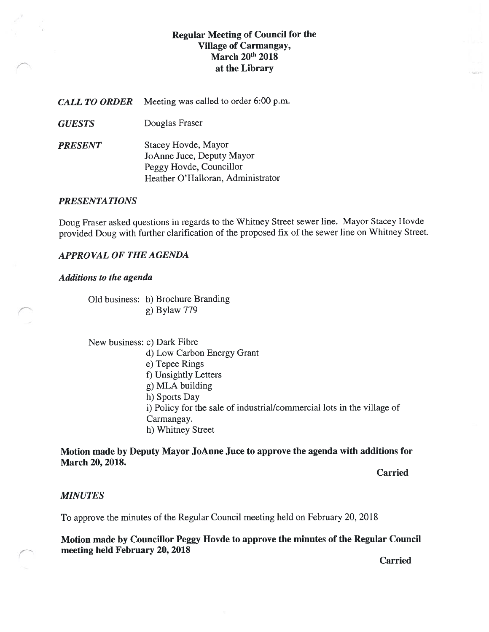## Regular Meeting of Council for the Village of Carmangay, March 20<sup>th</sup> 2018 at the Library

CALL TO ORDER Meeting was called to order 6:00 p.m.

GUESTS Douglas Fraser

PRESENT Stacey Hovde, Mayor JoAnne Juce, Deputy Mayor Peggy Hovde, Councillor Heather O'Halloran, Administrator

### PRESENTATIONS

Doug Fraser asked questions in regards to the Whitney Street sewer line. Mayor Stacey Hovde provided Doug with further clarification of the proposed fix of the sewer line on Whitney Street.

### APPROVAL Of THE AGENDA

### Additions to the agenda

Old business: h) Brochure Branding g) Bylaw 779

New business: c) Dark Fibre d) Low Carbon Energy Grant e) Tepee Rings f) Unsightly Letters g) MLA building h) Sports Day i) Policy for the sate of industrial/commerciat lots in the village of Carmangay. h) Whitney Street

## Motion made by Deputy Mayor JoAnne Juce to approve the agenda with additions for March 20, 2018.

Carried

#### MINUTES

To approve the minutes of the Regular Council meeting held on February 20, 201\$

Motion made by Councillor Peggy Hovde to approve the minutes of the Regular Council meeting held February 20, 2018

Carried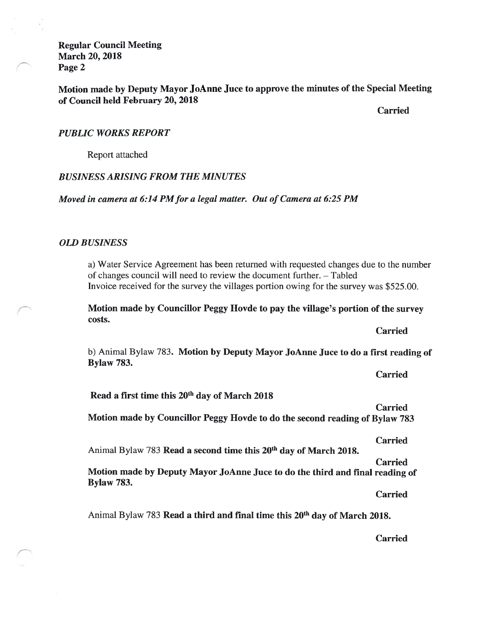Regular Council Meeting March 20, 2018 Page 2

Motion made by Deputy Mayor JoAnne Juce to approve the minutes of the Special Meeting of Council held February 20, 2012

Carried

#### PUBLIC WORKS REPORT

Report attached

### BUSINESS ARISING FROM THE MINUTES

Moved in camera at 6:14 PM for a legal matter. Out of Camera at 6:25 PM

#### OLD BUSINESS

a) Water Service Agreement has been returned with requested changes due to the number of changes council will need to review the document further. — Tabled Invoice received for the survey the villages portion owing for the survey was \$525.00.

Motion made by Councillor Peggy Hovde to pay the village's portion of the survey costs.

Carried

Carried

b) Animal Bylaw 783. Motion by Deputy Mayor JoAnne Juce to do a first reading of Bylaw 783.

Read a first time this 20th day of March 2018

Carried Motion made by Councillor Peggy Hovde to do the second reading of Bylaw 783

Carried

Animal Bylaw 783 Read a second time this 20<sup>th</sup> day of March 2018.

Carried Motion made by Deputy Mayor JoAnne Juce to do the third and final reading of Bylaw 783.

Carried

Animal Bylaw 783 Read a third and final time this 20<sup>th</sup> day of March 2018.

Carried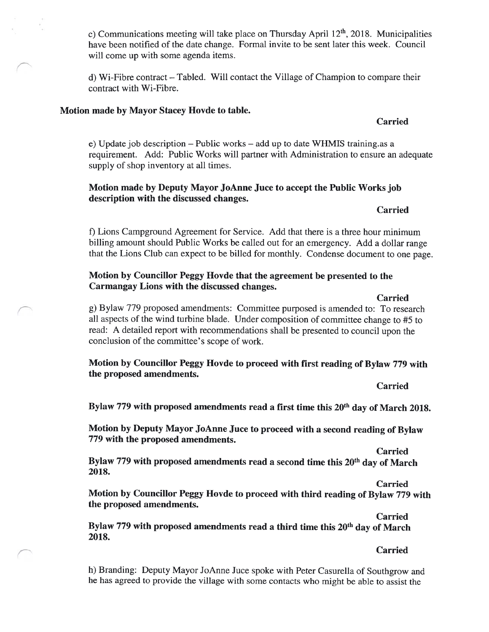c) Communications meeting will take place on Thursday April  $12<sup>th</sup>$ , 2018. Municipalities have been notified of the date change. formal invite to be sent later this week. Council will come up with some agenda items.

d) Wi-Fibre contract — Tabled. Will contact the Village of Champion to compare their contract with Wi-Fibre.

## Motion made by Mayor Stacey Hovde to table.

### Carried

e) Update job description — Public works — add up to date WHMIS training.as a requirement. Add: Public Works will partner with Administration to ensure an adequate supply of shop inventory at all times.

## Motion made by Deputy Mayor JoAnne Juce to accept the Public Works job description with the discussed changes.

Carried

f) Lions Campground Agreement for Service. Add that there is a three hour minimum billing amount should Public Works be called out for an emergency. Add a dollar range that the Lions Club can expect to be billed for monthly. Condense document to one page.

## Motion by Councillor Peggy Hovde that the agreement be presented to the Carmangay Lions with the discussed changes.

Carried g) Bylaw 779 proposed amendments: Committee purposed is amended to: To research all aspects of the wind turbine blade. Under composition of committee change to #5 to read: A detailed report with recommendations shall be presented to council upon the conclusion of the committee's scope of work.

Motion by Councillor Peggy Hovde to proceed with first reading of Bylaw 779 with the proposed amendments.

Carried Bylaw 779 with proposed amendments read a first time this 20<sup>th</sup> day of March 2018.

Motion by Deputy Mayor JoAnne Juce to proceed with a second reading of Bylaw 779 with the proposed amendments.

Carried

Bylaw 779 with proposed amendments read a second time this 20<sup>th</sup> day of March 201\$.

Carried

Motion by Councillor Peggy Hovde to proceed with third reading of Bylaw 779 with the proposed amendments.

Carried Bylaw 779 with proposed amendments read a third time this 20<sup>th</sup> day of March 2018.

### Carried

h) Branding: Deputy Mayor JoAnne Juce spoke with Peter Casurella of Southgrow and he has agreed to provide the village with some contacts who might be able to assist the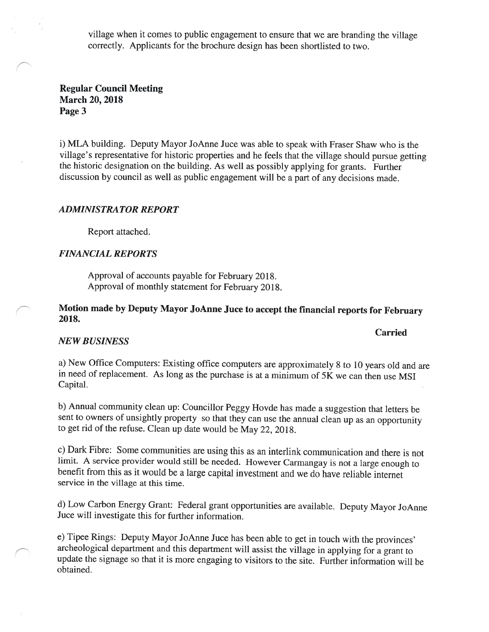village when it comes to public engagement to ensure that we are branding the village correctly. Applicants for the brochure design has been shortlisted to two.

Regular Council Meeting March 20, 2018 Page 3

i) MLA building. Deputy Mayor JoAnne Juce was able to speak with Fraser Shaw who is the village's representative for historic properties and he feels that the village should pursue getting the historic designation on the building. As well as possibly applying for grants. Further discussion by council as well as public engagement will be <sup>a</sup> part of any decisions made.

#### ADMINISTRATOR REPORT

Report attached.

#### FINANCIAL REPORTS

Approval of accounts payable for February 2018. Approval of monthly statement for February 2018.

Motion made by Deputy Mayor JoAnne Juce to accept the financial reports for February 2018.

#### Carried

#### NEW BUSINESS

a) New Office Computers: Existing office computers are approximately <sup>8</sup> to <sup>10</sup> years old and are in need of replacement. As long as the purchase is at <sup>a</sup> minimum of 5K we can then use MSI Capital.

b) Annual community clean up: Councillor Peggy Hovde has made <sup>a</sup> suggestion that letters be sent to owners of unsightly property so that they can use the annual clean up as an opportunity to get rid of the refuse. Clean up date would be May 22, 2018.

c) Dark Fibre: Some communities are using this as an interlink communication and there is not limit. <sup>A</sup> service provider would still be needed. However Carmangay is not <sup>a</sup> large enoug<sup>h</sup> to benefit from this as it would be <sup>a</sup> large capital investment and we do have reliable internet service in the village at this time.

d) Low Carbon Energy Grant: Federal grant opportunities are available. Deputy Mayor JoAnne Juce will investigate this for further information.

e) Tipee Rings: Deputy Mayor JoAnne Juce has been able to get in touch with the provinces' archeological department and this department will assist the village in applying for <sup>a</sup> grant to update the signage so that it is more engaging to visitors to the site. Further information will be obtained.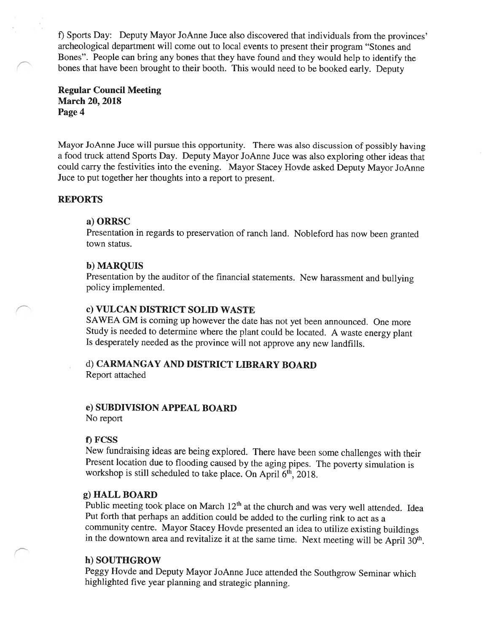t) Sports Day: Deputy Mayor JoAnne Juce also discovered that individuals from the provinces' archeological department will come out to local events to present their program "Stones and Bones". People can bring any bones that they have found and they would help to identify the bones that have been brought to their booth. This would need to be booked early. Deputy

#### Regular Council Meeting March 20, 2018 Page 4

Mayor JoAnne Juce will pursue this opportunity. There was also discussion of possibly having a food truck attend Sports Day. Deputy Mayor JoAnne Juce was also exploring other ideas that could carry the festivities into the evening. Mayor Stacey Hovde asked Deputy Mayor JoAnne Juce to put together her thoughts into a report to present.

#### REPORTS

#### a) ORRSC

Presentation in regards to preservation of ranch land. Nobleford has now been granted town status.

#### b) MARQUIS

Presentation by the auditor of the financial statements. New harassment and bullying policy implemented.

#### c) VULCAN DISTRICT SOLID WASTE

SAWEA GM is coming up however the date has not yet been announced. One more Study is needed to determine where the plant could be located. A waste energy plant Is desperately needed as the province will not approve any new landfills.

## d) CARMANGAY AND DISTRICT LIBRARY BOARD

Report attached

#### e) SUBDIVISION APPEAL BOARD

No report

#### f) FCSS

New fundraising ideas are being explored. There have been some challenges with their Present location due to flooding caused by the aging pipes. The poverty simulation is workshop is still scheduled to take place. On April  $6<sup>th</sup>$ , 2018.

#### g) HALL BOARD

Public meeting took place on March  $12<sup>th</sup>$  at the church and was very well attended. Idea Put forth that perhaps an addition could be added to the curling rink to act as <sup>a</sup> community centre. Mayor Stacey Hovde presented an idea to utilize existing buildings in the downtown area and revitalize it at the same time. Next meeting will be April 30<sup>th</sup>.

### h) SOUTHGROW

Peggy Hovde and Deputy Mayor JoAnne Juce attended the Southgrow Seminar which highlighted five year planning and strategic planning.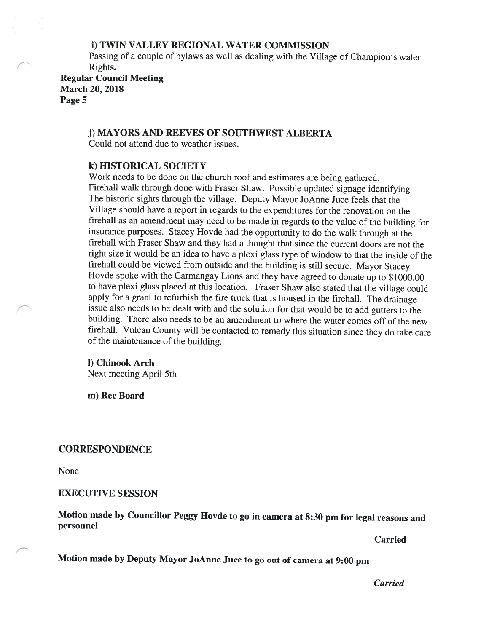### 1) TWIN VALLEY REGIONAL WATER COMMISSION

Passing of <sup>a</sup> couple of bylaws as well as dealing with the Village of Champion's water Rights.

Regular Council Meeting March 20, 2018 Page 5

#### j) MAYORS AND REEVES OF SOUTHWEST ALBERTA

Could not attend due to weather issues.

#### k) HISTORICAL SOCIETY

Work needs to be done on the church roof and estimates are being gathered. Firehall walk through done with Fraser Shaw. Possible updated signage identifying The historic sights through the village. Deputy Mayor JoAnne Juce feels that the Village should have <sup>a</sup> report in regards to the expenditures for the renovation on the firehall as an amendment may need to be made in regards to the value of the building for insurance purposes. Stacey Hovde had the opportunity to do the walk through at the firehall with Fraser Shaw and they had <sup>a</sup> thought that since the current doors are not the right size it would be an idea to have <sup>a</sup> <sup>p</sup>lexi <sup>g</sup>lass type of window to that the inside of the firehal] could be viewed from outside and the building is still secure. Mayor Stacey Hovde spoke with the Carmangay Lions and they have agreed to donate up to \$1000.00 to have <sup>p</sup>lexi <sup>g</sup>lass <sup>p</sup>laced at this location. Fraser Shaw also stated that the village could apply for <sup>a</sup> grant to refurbish the fire truck that is housed in the firehall. The drainage issue also needs to be dealt with and the solution for that would be to add gutters to the building. There also needs to be an amendment to where the water comes off of the new firehall. Vulcan County will be contacted to remedy this situation since they do take care of the maintenance of the building.

#### I) Chinook Arch Next meeting April 5th

m) Rec Board

#### **CORRESPONDENCE**

None

#### EXECUTIVE SESSION

Motion made by Councillor Peggy Hovde to go in camera at 8:30 pm for legal reasons and personnel

Carried

Motion made by Deputy Mayor JoAnne Juce to go out of camera at 9:00 pm

Carried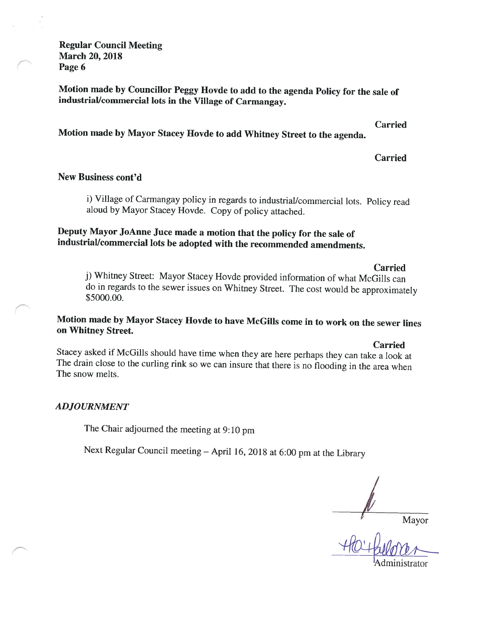Regular Council Meeting March 20, 2018 Page 6

Motion made by Councillor Peggy Hovde to add to the agenda Policy for the sale of industrial/commercial lots in the Village of Carmangay.

Carried

Motion made by Mayor Stacey Hovde to add Whitney Street to the agenda.

Carried

## New Business cont'd

1) Village of Carmangay policy in regards to industrial/commercial lots. Policy read aloud by Mayor Stacey Hovde. Copy of policy attached.

## Deputy Mayor JoAnne Juce made <sup>a</sup> motion that the policy for the sale of industrial/commercial lots be adopted with the recommended amendments.

**Carried** 

j) Whitney Street: Mayor Stacey Hovde provided information of what McGills can do in regards to the sewer issues on Whitney Street. The cost would be approximately \$5000.00.

## Motion made by Mayor Stacey Hovde to have McGills come in to work on the sewer lines on Whitney Street.

Carried

Stacey asked if McGills should have time when they are here perhaps they can take <sup>a</sup> look at The drain close to the curling rink so we can insure that there is no flooding in the area when The snow melts.

## ADJOURNMENT

The Chair adjourned the meeting at 9:10 pm

Next Regular Council meeting - April 16, 2018 at 6:00 pm at the Library

Mayor

1Administrator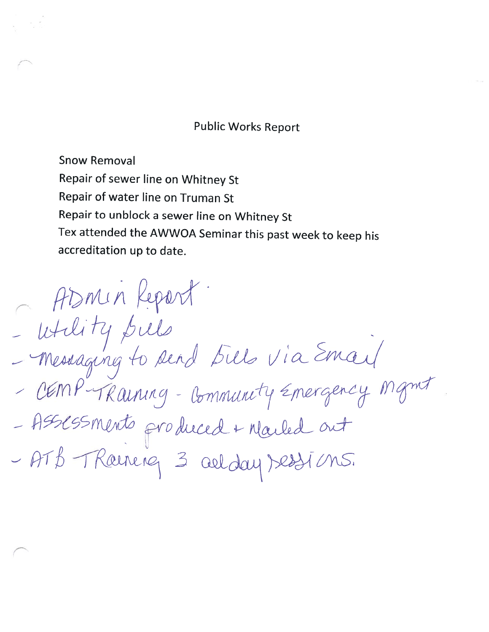# Public Works Report

Snow Removal Repair of sewer line on Whitney St Repair of water line on Truman St Repair to unblock <sup>a</sup> sewer line on Whitney St Tex attended the AWWOA Seminar this past week to keep his accreditation up to date.

Asmin Report. - - - ASSESSMents produced + Marled out - ATB TRouning 3 aelday bestions.